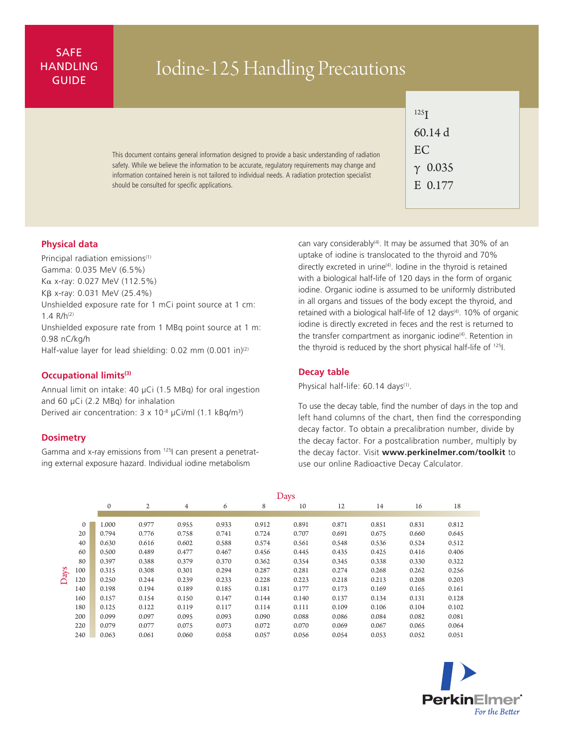# SAFE **HANDLING**

# ANDLING Iodine-125 Handling Precautions

This document contains general information designed to provide a basic understanding of radiation safety. While we believe the information to be accurate, regulatory requirements may change and information contained herein is not tailored to individual needs. A radiation protection specialist should be consulted for specific applications.

| $^{125}$ T |                |  |  |  |  |  |  |
|------------|----------------|--|--|--|--|--|--|
| 60.14 d    |                |  |  |  |  |  |  |
| EC         |                |  |  |  |  |  |  |
|            | $\gamma$ 0.035 |  |  |  |  |  |  |
|            | E 0.177        |  |  |  |  |  |  |
|            |                |  |  |  |  |  |  |

## **Physical data**

Principal radiation emissions<sup>(1)</sup> Gamma: 0.035 MeV (6.5%) Ka x-ray: 0.027 MeV (112.5%) Kb x-ray: 0.031 MeV (25.4%) Unshielded exposure rate for 1 mCi point source at 1 cm: 1.4  $R/h^{(2)}$ Unshielded exposure rate from 1 MBq point source at 1 m: 0.98 nC/kg/h Half-value layer for lead shielding:  $0.02$  mm  $(0.001$  in)<sup>(2)</sup>

#### **Occupational limits(3)**

Annual limit on intake: 40 µCi (1.5 MBq) for oral ingestion and 60 µCi (2.2 MBq) for inhalation Derived air concentration:  $3 \times 10^{-8}$  µCi/ml (1.1 kBq/m<sup>3</sup>)

### **Dosimetry**

Gamma and x-ray emissions from 125I can present a penetrating external exposure hazard. Individual iodine metabolism

can vary considerably<sup>(4)</sup>. It may be assumed that 30% of an uptake of iodine is translocated to the thyroid and 70% directly excreted in urine<sup>(4)</sup>. Iodine in the thyroid is retained with a biological half-life of 120 days in the form of organic iodine. Organic iodine is assumed to be uniformly distributed in all organs and tissues of the body except the thyroid, and retained with a biological half-life of 12 days<sup>(4)</sup>. 10% of organic iodine is directly excreted in feces and the rest is returned to the transfer compartment as inorganic iodine<sup>(4)</sup>. Retention in the thyroid is reduced by the short physical half-life of <sup>125</sup>l.

#### **Decay table**

Physical half-life: 60.14 days<sup>(1)</sup>.

To use the decay table, find the number of days in the top and left hand columns of the chart, then find the corresponding decay factor. To obtain a precalibration number, divide by the decay factor. For a postcalibration number, multiply by the decay factor. Visit **www.perkinelmer.com/toolkit** to use our online Radioactive Decay Calculator.

|      |              | Days     |       |       |       |       |       |       |       |       |       |  |  |
|------|--------------|----------|-------|-------|-------|-------|-------|-------|-------|-------|-------|--|--|
|      |              | $\Omega$ | 2     | 4     | 6     | 8     | 10    | 12    | 14    | 16    | 18    |  |  |
|      |              |          |       |       |       |       |       |       |       |       |       |  |  |
| Days | $\mathbf{0}$ | 1.000    | 0.977 | 0.955 | 0.933 | 0.912 | 0.891 | 0.871 | 0.851 | 0.831 | 0.812 |  |  |
|      | 20           | 0.794    | 0.776 | 0.758 | 0.741 | 0.724 | 0.707 | 0.691 | 0.675 | 0.660 | 0.645 |  |  |
|      | 40           | 0.630    | 0.616 | 0.602 | 0.588 | 0.574 | 0.561 | 0.548 | 0.536 | 0.524 | 0.512 |  |  |
|      | 60           | 0.500    | 0.489 | 0.477 | 0.467 | 0.456 | 0.445 | 0.435 | 0.425 | 0.416 | 0.406 |  |  |
|      | 80           | 0.397    | 0.388 | 0.379 | 0.370 | 0.362 | 0.354 | 0.345 | 0.338 | 0.330 | 0.322 |  |  |
|      | 100          | 0.315    | 0.308 | 0.301 | 0.294 | 0.287 | 0.281 | 0.274 | 0.268 | 0.262 | 0.256 |  |  |
|      | 120          | 0.250    | 0.244 | 0.239 | 0.233 | 0.228 | 0.223 | 0.218 | 0.213 | 0.208 | 0.203 |  |  |
|      | 140          | 0.198    | 0.194 | 0.189 | 0.185 | 0.181 | 0.177 | 0.173 | 0.169 | 0.165 | 0.161 |  |  |
|      | 160          | 0.157    | 0.154 | 0.150 | 0.147 | 0.144 | 0.140 | 0.137 | 0.134 | 0.131 | 0.128 |  |  |
|      | 180          | 0.125    | 0.122 | 0.119 | 0.117 | 0.114 | 0.111 | 0.109 | 0.106 | 0.104 | 0.102 |  |  |
|      | 200          | 0.099    | 0.097 | 0.095 | 0.093 | 0.090 | 0.088 | 0.086 | 0.084 | 0.082 | 0.081 |  |  |
|      | 220          | 0.079    | 0.077 | 0.075 | 0.073 | 0.072 | 0.070 | 0.069 | 0.067 | 0.065 | 0.064 |  |  |
|      | 240          | 0.063    | 0.061 | 0.060 | 0.058 | 0.057 | 0.056 | 0.054 | 0.053 | 0.052 | 0.051 |  |  |